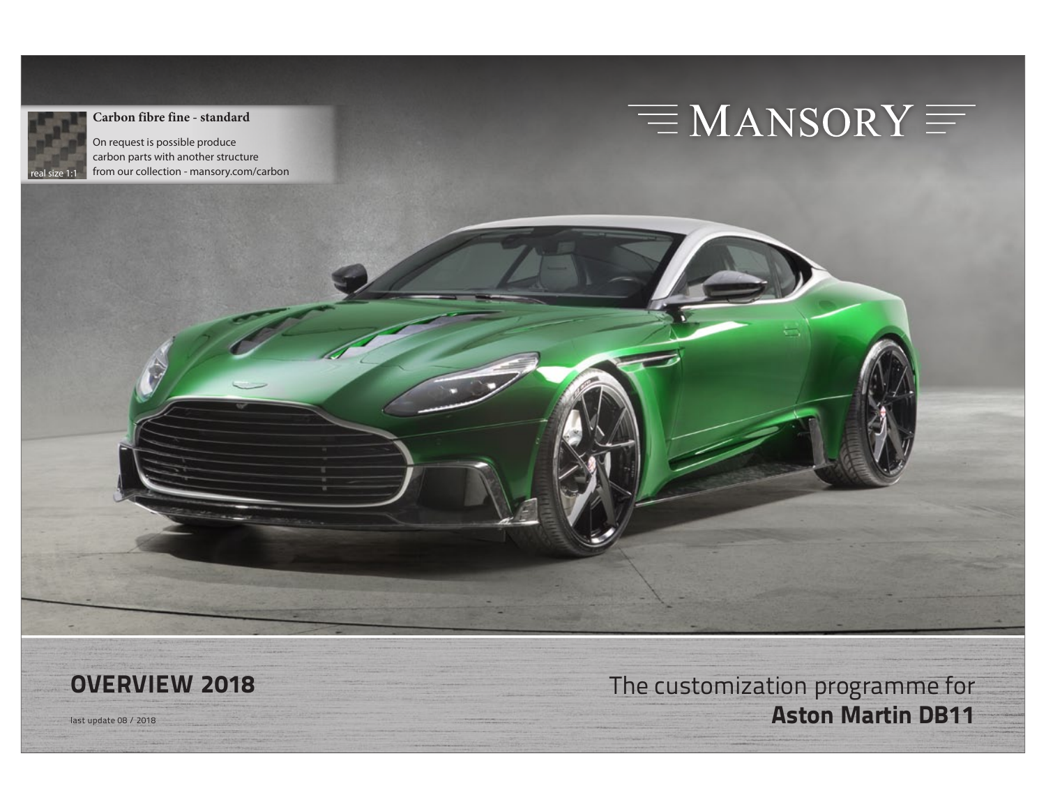

### **Carbon fibre fine - standard**

On request is possible produce carbon parts with another structure from our collection - mansory.com/carbon

# $\equiv$ MANSORY $\equiv$

**OVERVIEW 2018** The customization programme for Hast update 08 / 2018 **Aston Martin DB11**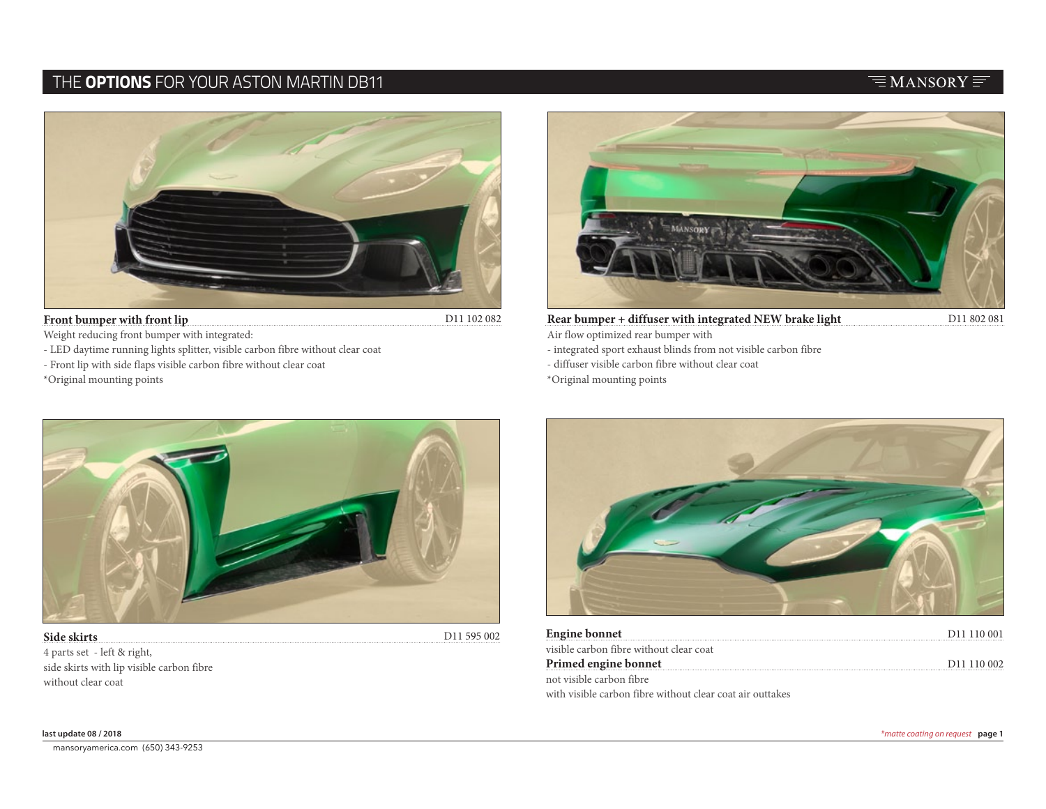### THE **OPTIONS** FOR YOUR ASTON MARTIN DB11



### **Front bumper with front lip**

D11 102 082

Weight reducing front bumper with integrated:

- LED daytime running lights splitter, visible carbon fibre without clear coat
- Front lip with side flaps visible carbon fibre without clear coat

\*Original mounting points



**Rear bumper + diffuser with integrated NEW brake light**

- Air flow optimized rear bumper with
- integrated sport exhaust blinds from not visible carbon fibre
- diffuser visible carbon fibre without clear coat

\*Original mounting points



### **Side skirts** 4 parts set - left & right, side skirts with lip visible carbon fibre without clear coat



| Engine bonnet                                             | D <sub>11</sub> 110 001 |
|-----------------------------------------------------------|-------------------------|
| visible carbon fibre without clear coat                   |                         |
| Primed engine bonnet                                      | D <sub>11</sub> 110 002 |
| not visible carbon fibre                                  |                         |
| with visible carbon fibre without clear coat air outtakes |                         |

**all prices calculated net, ex works excluding VAT, without painting and modifcation work** © all copyrights by MANSORY Design & Holding GmbH, Wunsiedler Str. 1, 95682 Brand Germany General Terms and Conditions at www.mansory.com/gtc mansoryamerica.com (650) 343-9253

### $\equiv$ MANSORY $\equiv$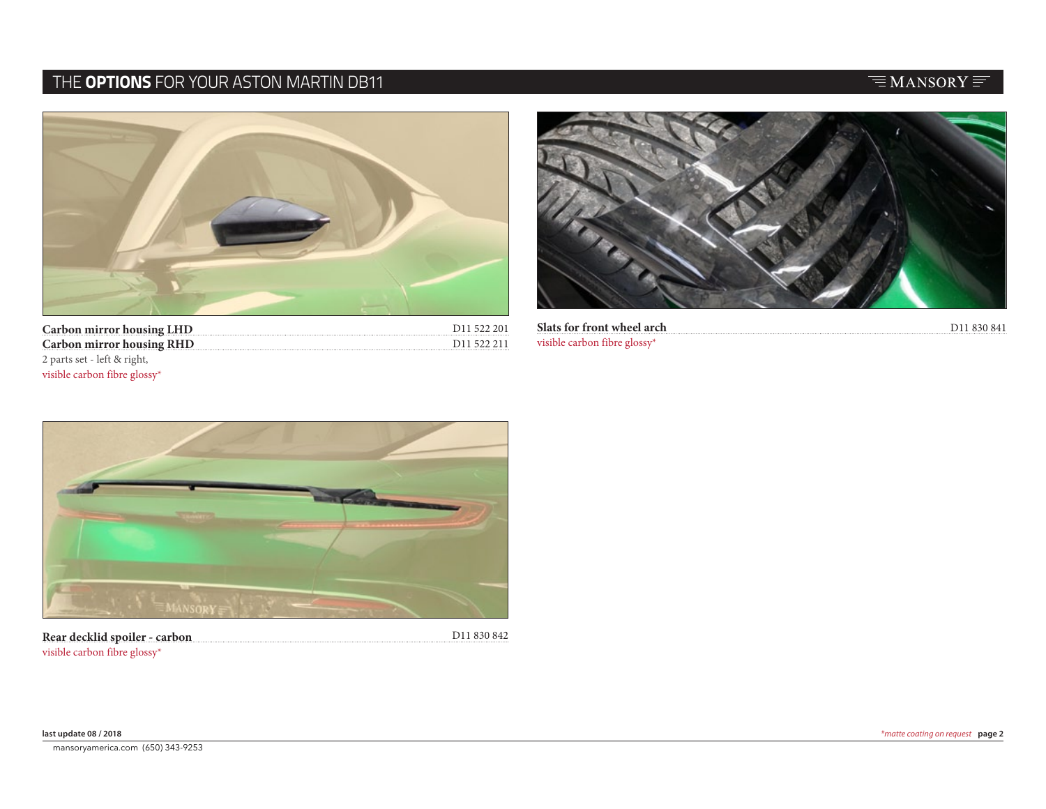# THE **OPTIONS** FOR YOUR ASTON MARTIN DB11

# $\equiv$ MANSORY $\equiv$



| <b>Carbon mirror housing LHD</b> | D <sub>11</sub> 522 201 |
|----------------------------------|-------------------------|
| <b>Carbon mirror housing RHD</b> | D <sub>11</sub> 522 211 |
| 2 parts set - left & right,      |                         |
| visible carbon fibre glossy*     |                         |



| . | Slats for front wheel arch       |  |
|---|----------------------------------|--|
|   | visible carbon fibre gloss $v^*$ |  |



**Rear decklid spoiler - carbon** visible carbon fibre glossy\*

D11 830 842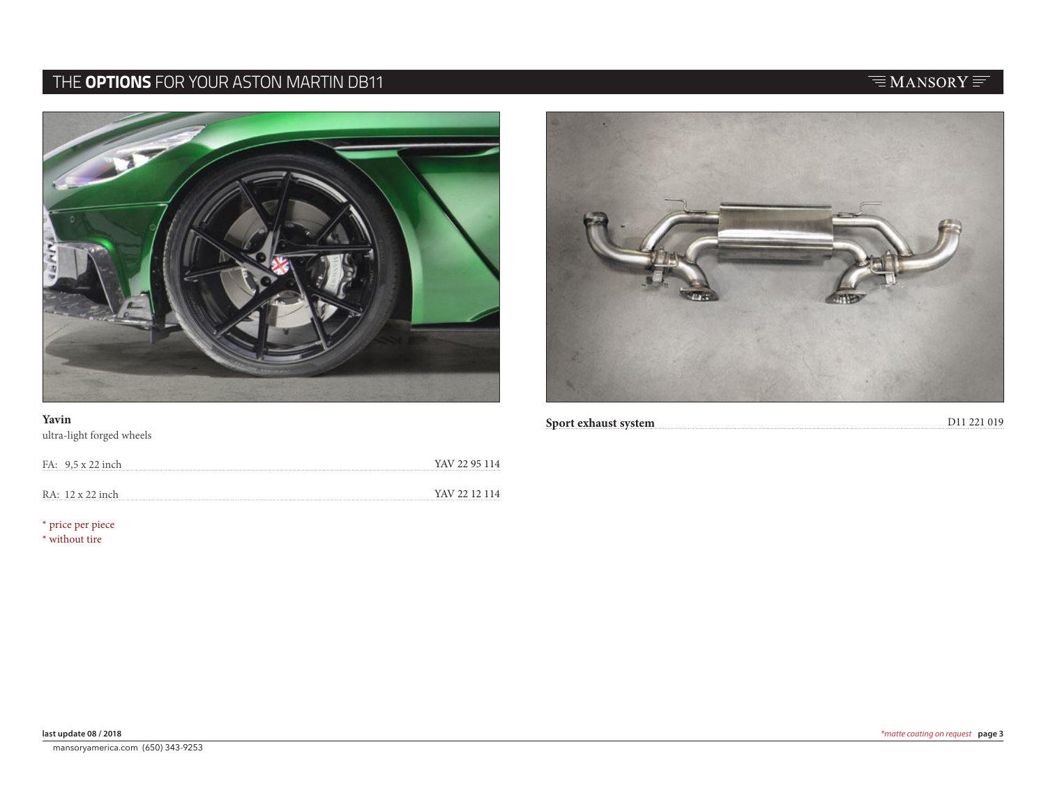# THE **OPTIONS** FOR YOUR ASTON MARTIN DB11

### **Yavin**

ultra-light forged wheels

| FA: 9.5 x 22 inch | YAV 22 95 114 |
|-------------------|---------------|
| RA: 12 x 22 inch  | YAV 22 12 114 |
|                   |               |

\* price per piece

\* without tire





## $\equiv$ MANSORY $\equiv$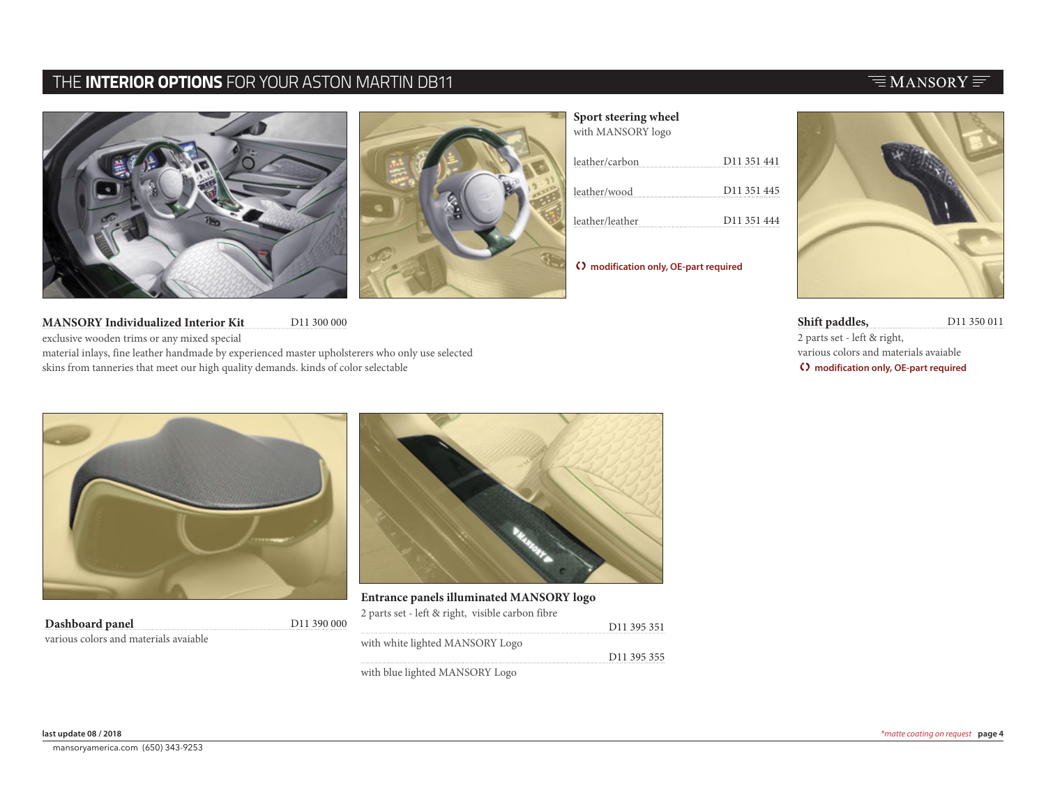### THE **INTERIOR OPTIONS** FOR YOUR ASTON MARTIN DB11





D11 300 000 **MANSORY Individualized Interior Kit** exclusive wooden trims or any mixed special material inlays, fine leather handmade by experienced master upholsterers who only use selected skins from tanneries that meet our high quality demands. kinds of color selectable

### **Sport steering wheel**

| with MANSORY logo |                         |
|-------------------|-------------------------|
| leather/carbon    | D <sub>11</sub> 351 441 |
| leather/wood      | D <sub>11</sub> 351 445 |
| leather/leather   | D <sub>11</sub> 351 444 |

T **modification only, OE-part required**

**Shift paddles,** D11 350 011 2 parts set - left & right, various colors and materials avaiable T **modification only, OE-part required**



| Dashboard panel                       | D <sub>11</sub> 390 000 |
|---------------------------------------|-------------------------|
| various colors and materials avaiable |                         |



D11 395 351 D11 395 355 **Entrance panels illuminated MANSORY logo**  2 parts set - left & right, visible carbon fibre with white lighted MANSORY Logo with blue lighted MANSORY Logo

### $\equiv$ MANSORY $\equiv$